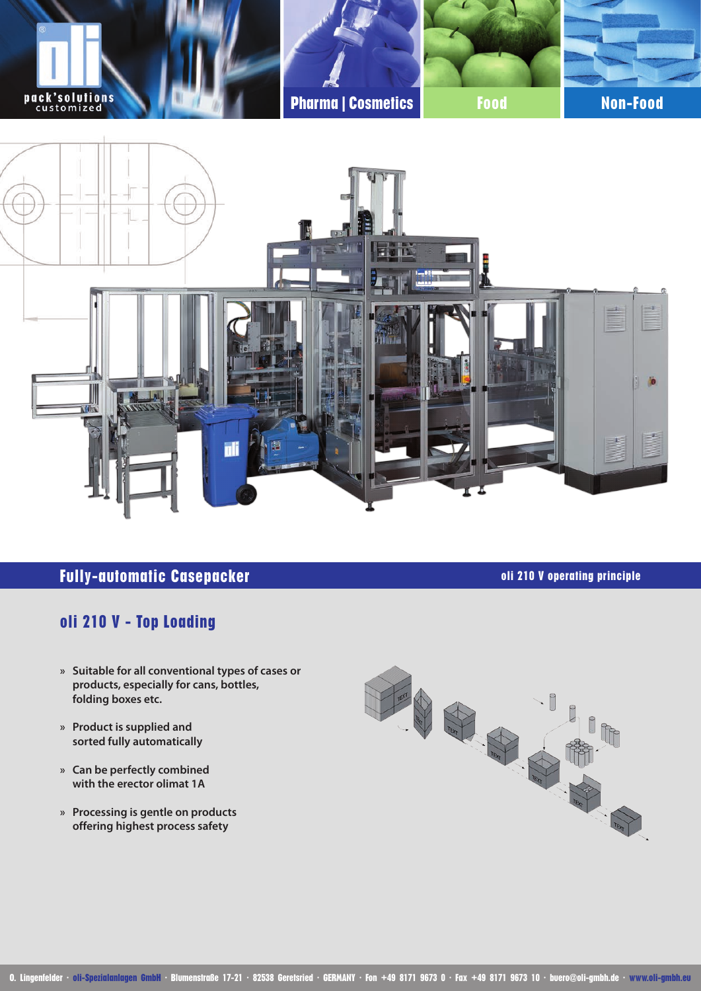

### **Fully-automatic Casepacker oli 210 V operating principle**

# **oli 210 V - Top Loading**

- **» Suitable for all conventional types of cases or products, especially for cans, bottles, folding boxes etc.**
- **» Product is supplied and sorted fully automatically**
- **» Can be perfectly combined with the erector olimat 1A**
- **» Processing is gentle on products offering highest process safety**



**O. Lingenfelder ∙ oli-Spezialanlagen GmbH ∙ Blumenstraße 17-21 ∙ 82538 Geretsried ∙ GERMANY ∙ Fon +49 8171 9673 0 ∙ Fax +49 8171 9673 10 ∙ buero@oli-gmbh.de ∙ www.oli-gmbh.eu**